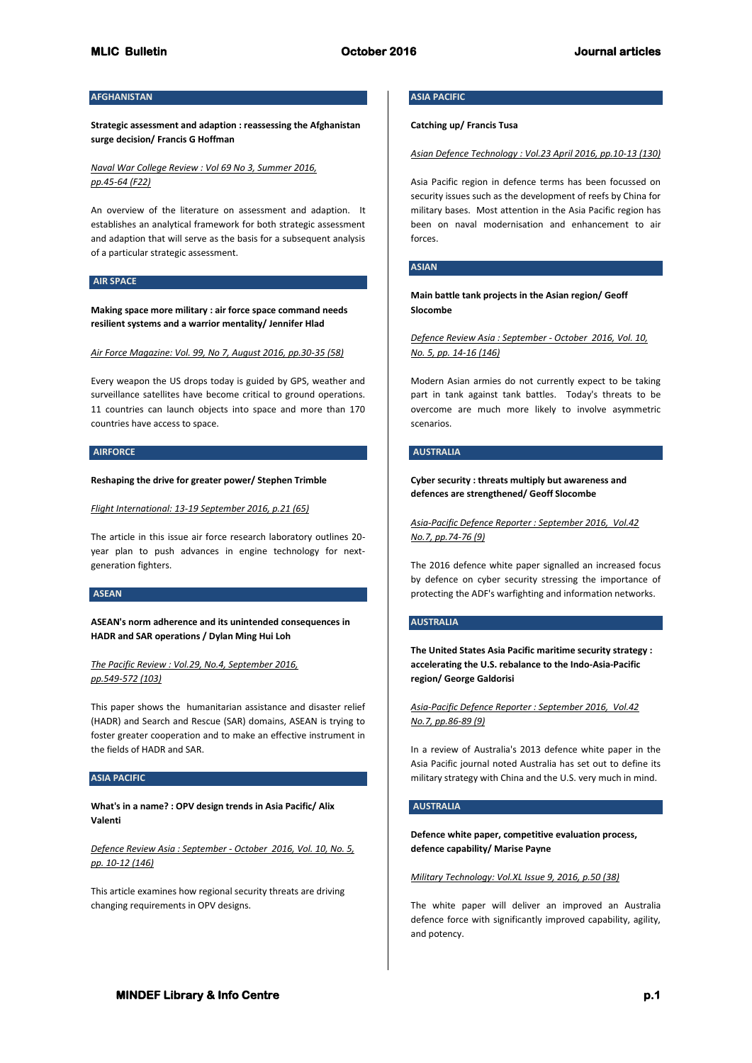# **AFGHANISTAN**

**Strategic assessment and adaption : reassessing the Afghanistan surge decision/ Francis G Hoffman**

*Naval War College Review : Vol 69 No 3, Summer 2016, pp.45-64 (F22)*

An overview of the literature on assessment and adaption. It establishes an analytical framework for both strategic assessment and adaption that will serve as the basis for a subsequent analysis of a particular strategic assessment.

## **AIR SPACE**

**Making space more military : air force space command needs resilient systems and a warrior mentality/ Jennifer Hlad**

*Air Force Magazine: Vol. 99, No 7, August 2016, pp.30-35 (58)*

Every weapon the US drops today is guided by GPS, weather and surveillance satellites have become critical to ground operations. 11 countries can launch objects into space and more than 170 countries have access to space.

## **AIRFORCE**

**Reshaping the drive for greater power/ Stephen Trimble**

*Flight International: 13-19 September 2016, p.21 (65)*

The article in this issue air force research laboratory outlines 20 year plan to push advances in engine technology for nextgeneration fighters.

## **ASEAN**

**ASEAN's norm adherence and its unintended consequences in HADR and SAR operations / Dylan Ming Hui Loh**

*The Pacific Review : Vol.29, No.4, September 2016, pp.549-572 (103)*

This paper shows the humanitarian assistance and disaster relief (HADR) and Search and Rescue (SAR) domains, ASEAN is trying to foster greater cooperation and to make an effective instrument in the fields of HADR and SAR.

## **ASIA PACIFIC**

**What's in a name? : OPV design trends in Asia Pacific/ Alix Valenti**

*Defence Review Asia : September - October 2016, Vol. 10, No. 5, pp. 10-12 (146)*

This article examines how regional security threats are driving changing requirements in OPV designs.

## **ASIA PACIFIC**

**Catching up/ Francis Tusa**

*Asian Defence Technology : Vol.23 April 2016, pp.10-13 (130)*

Asia Pacific region in defence terms has been focussed on security issues such as the development of reefs by China for military bases. Most attention in the Asia Pacific region has been on naval modernisation and enhancement to air forces.

## **ASIAN**

**Main battle tank projects in the Asian region/ Geoff Slocombe**

*Defence Review Asia : September - October 2016, Vol. 10, No. 5, pp. 14-16 (146)*

Modern Asian armies do not currently expect to be taking part in tank against tank battles. Today's threats to be overcome are much more likely to involve asymmetric scenarios.

#### **AUSTRALIA**

**Cyber security : threats multiply but awareness and defences are strengthened/ Geoff Slocombe**

*Asia-Pacific Defence Reporter : September 2016, Vol.42 No.7, pp.74-76 (9)*

The 2016 defence white paper signalled an increased focus by defence on cyber security stressing the importance of protecting the ADF's warfighting and information networks.

## **AUSTRALIA**

**The United States Asia Pacific maritime security strategy : accelerating the U.S. rebalance to the Indo-Asia-Pacific region/ George Galdorisi**

*Asia-Pacific Defence Reporter : September 2016, Vol.42 No.7, pp.86-89 (9)*

In a review of Australia's 2013 defence white paper in the Asia Pacific journal noted Australia has set out to define its military strategy with China and the U.S. very much in mind.

# **AUSTRALIA**

**Defence white paper, competitive evaluation process, defence capability/ Marise Payne**

*Military Technology: Vol.XL Issue 9, 2016, p.50 (38)*

The white paper will deliver an improved an Australia defence force with significantly improved capability, agility, and potency.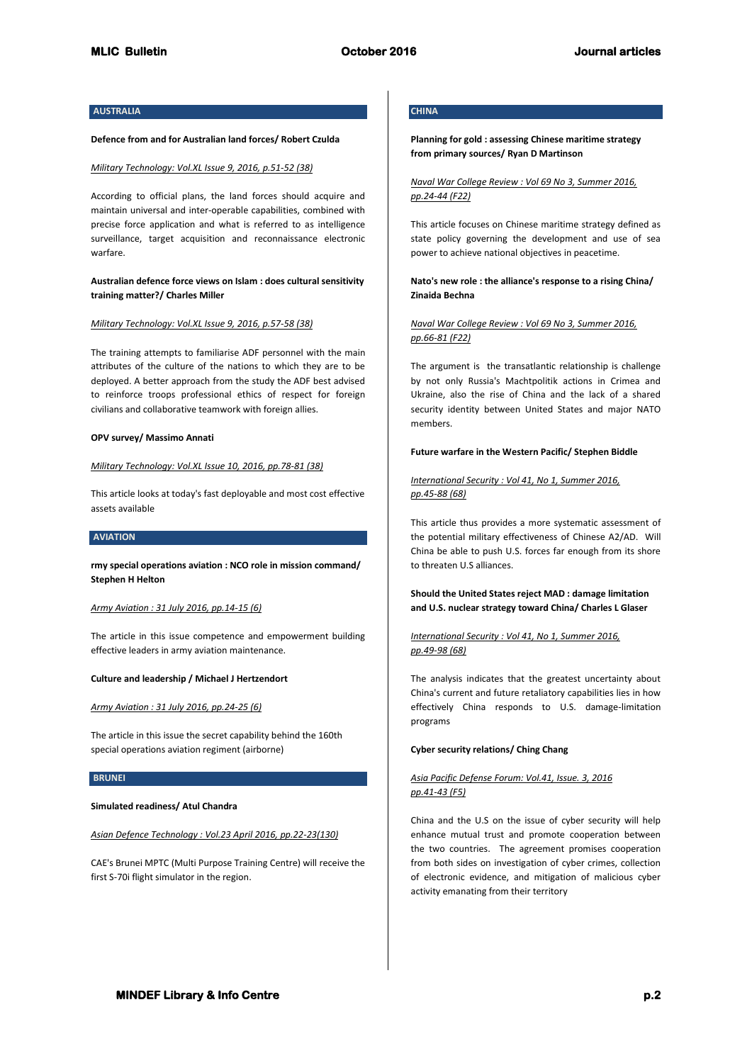# **AUSTRALIA**

#### **Defence from and for Australian land forces/ Robert Czulda**

#### *Military Technology: Vol.XL Issue 9, 2016, p.51-52 (38)*

According to official plans, the land forces should acquire and maintain universal and inter-operable capabilities, combined with precise force application and what is referred to as intelligence surveillance, target acquisition and reconnaissance electronic warfare.

# **Australian defence force views on Islam : does cultural sensitivity training matter?/ Charles Miller**

## *Military Technology: Vol.XL Issue 9, 2016, p.57-58 (38)*

The training attempts to familiarise ADF personnel with the main attributes of the culture of the nations to which they are to be deployed. A better approach from the study the ADF best advised to reinforce troops professional ethics of respect for foreign civilians and collaborative teamwork with foreign allies.

## **OPV survey/ Massimo Annati**

# *Military Technology: Vol.XL Issue 10, 2016, pp.78-81 (38)*

This article looks at today's fast deployable and most cost effective assets available

#### **AVIATION**

**rmy special operations aviation : NCO role in mission command/ Stephen H Helton**

#### *Army Aviation : 31 July 2016, pp.14-15 (6)*

The article in this issue competence and empowerment building effective leaders in army aviation maintenance.

#### **Culture and leadership / Michael J Hertzendort**

*Army Aviation : 31 July 2016, pp.24-25 (6)*

The article in this issue the secret capability behind the 160th special operations aviation regiment (airborne)

## **BRUNEI**

#### **Simulated readiness/ Atul Chandra**

## *Asian Defence Technology : Vol.23 April 2016, pp.22-23(130)*

CAE's Brunei MPTC (Multi Purpose Training Centre) will receive the first S-70i flight simulator in the region.

# **CHINA**

# **Planning for gold : assessing Chinese maritime strategy from primary sources/ Ryan D Martinson**

*Naval War College Review : Vol 69 No 3, Summer 2016, pp.24-44 (F22)*

This article focuses on Chinese maritime strategy defined as state policy governing the development and use of sea power to achieve national objectives in peacetime.

**Nato's new role : the alliance's response to a rising China/ Zinaida Bechna**

*Naval War College Review : Vol 69 No 3, Summer 2016, pp.66-81 (F22)*

The argument is the transatlantic relationship is challenge by not only Russia's Machtpolitik actions in Crimea and Ukraine, also the rise of China and the lack of a shared security identity between United States and major NATO members.

## **Future warfare in the Western Pacific/ Stephen Biddle**

# *International Security : Vol 41, No 1, Summer 2016, pp.45-88 (68)*

This article thus provides a more systematic assessment of the potential military effectiveness of Chinese A2/AD. Will China be able to push U.S. forces far enough from its shore to threaten U.S alliances.

**Should the United States reject MAD : damage limitation and U.S. nuclear strategy toward China/ Charles L Glaser**

# *International Security : Vol 41, No 1, Summer 2016, pp.49-98 (68)*

The analysis indicates that the greatest uncertainty about China's current and future retaliatory capabilities lies in how effectively China responds to U.S. damage-limitation programs

## **Cyber security relations/ Ching Chang**

# *Asia Pacific Defense Forum: Vol.41, Issue. 3, 2016 pp.41-43 (F5)*

China and the U.S on the issue of cyber security will help enhance mutual trust and promote cooperation between the two countries. The agreement promises cooperation from both sides on investigation of cyber crimes, collection of electronic evidence, and mitigation of malicious cyber activity emanating from their territory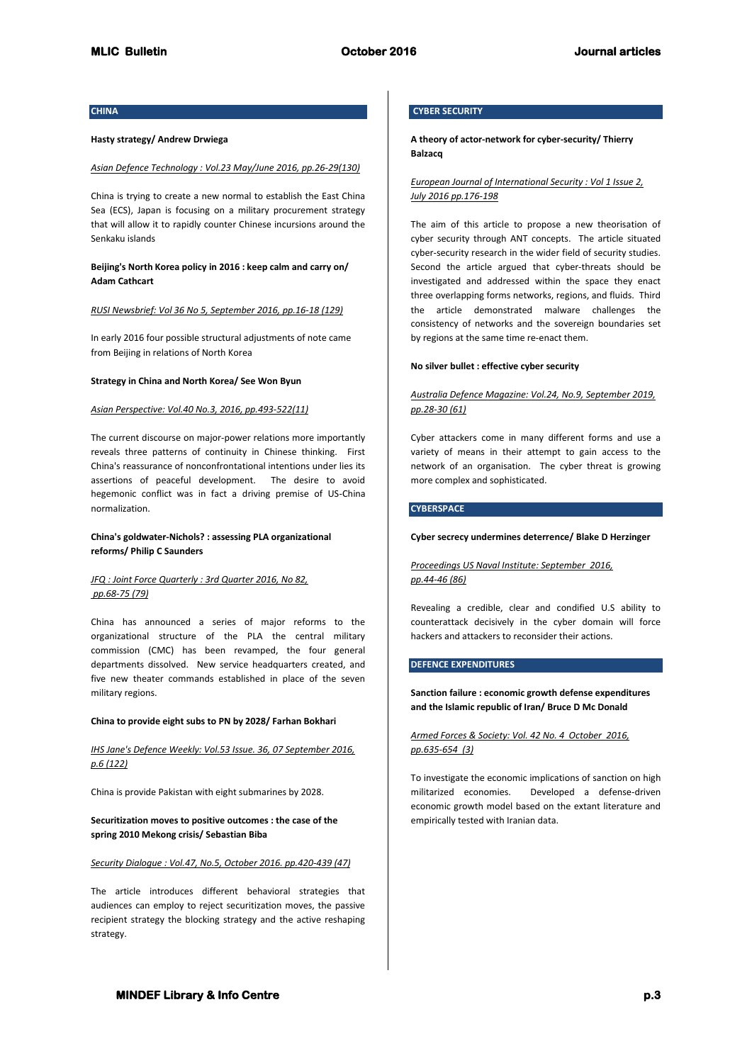# **CHINA**

#### **Hasty strategy/ Andrew Drwiega**

#### *Asian Defence Technology : Vol.23 May/June 2016, pp.26-29(130)*

China is trying to create a new normal to establish the East China Sea (ECS), Japan is focusing on a military procurement strategy that will allow it to rapidly counter Chinese incursions around the Senkaku islands

# **Beijing's North Korea policy in 2016 : keep calm and carry on/ Adam Cathcart**

## *RUSI Newsbrief: Vol 36 No 5, September 2016, pp.16-18 (129)*

In early 2016 four possible structural adjustments of note came from Beijing in relations of North Korea

#### **Strategy in China and North Korea/ See Won Byun**

## *Asian Perspective: Vol.40 No.3, 2016, pp.493-522(11)*

The current discourse on major-power relations more importantly reveals three patterns of continuity in Chinese thinking. First China's reassurance of nonconfrontational intentions under lies its assertions of peaceful development. The desire to avoid hegemonic conflict was in fact a driving premise of US-China normalization.

# **China's goldwater-Nichols? : assessing PLA organizational reforms/ Philip C Saunders**

# *JFQ : Joint Force Quarterly : 3rd Quarter 2016, No 82, pp.68-75 (79)*

China has announced a series of major reforms to the organizational structure of the PLA the central military commission (CMC) has been revamped, the four general departments dissolved. New service headquarters created, and five new theater commands established in place of the seven military regions.

#### **China to provide eight subs to PN by 2028/ Farhan Bokhari**

# *IHS Jane's Defence Weekly: Vol.53 Issue. 36, 07 September 2016, p.6 (122)*

China is provide Pakistan with eight submarines by 2028.

# **Securitization moves to positive outcomes : the case of the spring 2010 Mekong crisis/ Sebastian Biba**

# *Security Dialogue : Vol.47, No.5, October 2016. pp.420-439 (47)*

The article introduces different behavioral strategies that audiences can employ to reject securitization moves, the passive recipient strategy the blocking strategy and the active reshaping strategy.

# **CYBER SECURITY**

# **A theory of actor-network for cyber-security/ Thierry Balzacq**

# *European Journal of International Security : Vol 1 Issue 2, July 2016 pp.176-198*

The aim of this article to propose a new theorisation of cyber security through ANT concepts. The article situated cyber-security research in the wider field of security studies. Second the article argued that cyber-threats should be investigated and addressed within the space they enact three overlapping forms networks, regions, and fluids. Third the article demonstrated malware challenges the consistency of networks and the sovereign boundaries set by regions at the same time re-enact them.

## **No silver bullet : effective cyber security**

# *Australia Defence Magazine: Vol.24, No.9, September 2019, pp.28-30 (61)*

Cyber attackers come in many different forms and use a variety of means in their attempt to gain access to the network of an organisation. The cyber threat is growing more complex and sophisticated.

# **CYBERSPACE**

#### **Cyber secrecy undermines deterrence/ Blake D Herzinger**

# *Proceedings US Naval Institute: September 2016, pp.44-46 (86)*

Revealing a credible, clear and condified U.S ability to counterattack decisively in the cyber domain will force hackers and attackers to reconsider their actions.

# **DEFENCE EXPENDITURES**

# **Sanction failure : economic growth defense expenditures and the Islamic republic of Iran/ Bruce D Mc Donald**

## *Armed Forces & Society: Vol. 42 No. 4 October 2016, pp.635-654 (3)*

To investigate the economic implications of sanction on high militarized economies. Developed a defense-driven economic growth model based on the extant literature and empirically tested with Iranian data.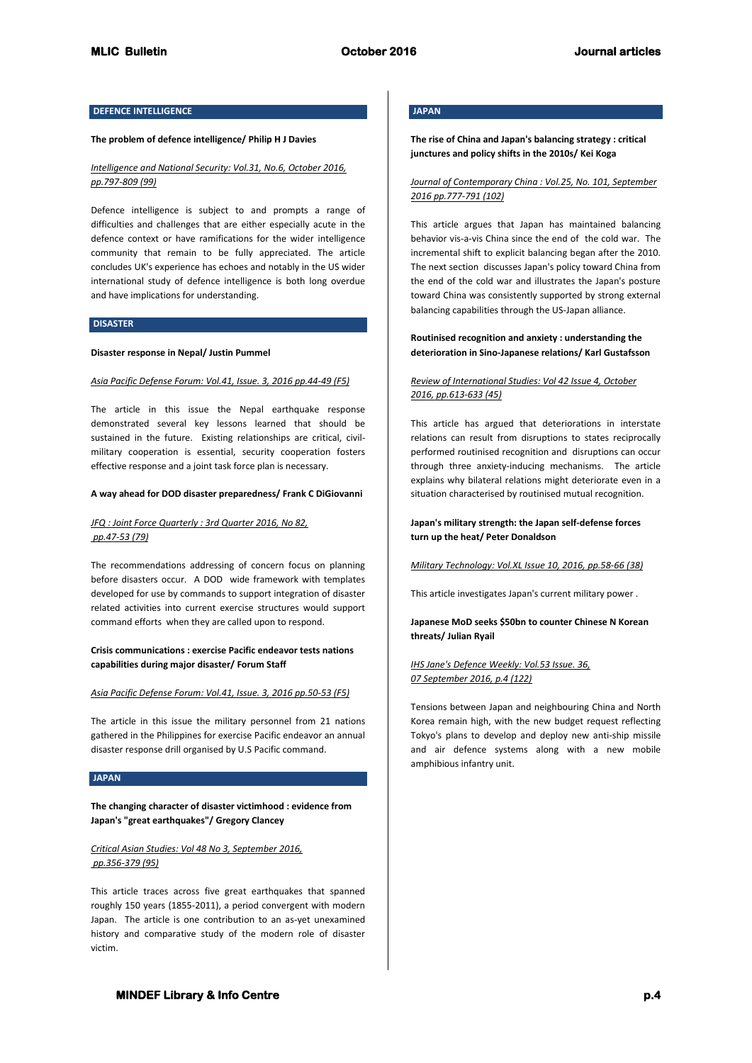# **DEFENCE INTELLIGENCE**

#### **The problem of defence intelligence/ Philip H J Davies**

# *Intelligence and National Security: Vol.31, No.6, October 2016, pp.797-809 (99)*

Defence intelligence is subject to and prompts a range of difficulties and challenges that are either especially acute in the defence context or have ramifications for the wider intelligence community that remain to be fully appreciated. The article concludes UK's experience has echoes and notably in the US wider international study of defence intelligence is both long overdue and have implications for understanding.

# **DISASTER**

#### **Disaster response in Nepal/ Justin Pummel**

## *Asia Pacific Defense Forum: Vol.41, Issue. 3, 2016 pp.44-49 (F5)*

The article in this issue the Nepal earthquake response demonstrated several key lessons learned that should be sustained in the future. Existing relationships are critical, civilmilitary cooperation is essential, security cooperation fosters effective response and a joint task force plan is necessary.

#### **A way ahead for DOD disaster preparedness/ Frank C DiGiovanni**

# *JFQ : Joint Force Quarterly : 3rd Quarter 2016, No 82, pp.47-53 (79)*

The recommendations addressing of concern focus on planning before disasters occur. A DOD wide framework with templates developed for use by commands to support integration of disaster related activities into current exercise structures would support command efforts when they are called upon to respond.

# **Crisis communications : exercise Pacific endeavor tests nations capabilities during major disaster/ Forum Staff**

## *Asia Pacific Defense Forum: Vol.41, Issue. 3, 2016 pp.50-53 (F5)*

The article in this issue the military personnel from 21 nations gathered in the Philippines for exercise Pacific endeavor an annual disaster response drill organised by U.S Pacific command.

## **JAPAN**

**The changing character of disaster victimhood : evidence from Japan's "great earthquakes"/ Gregory Clancey**

# *Critical Asian Studies: Vol 48 No 3, September 2016, pp.356-379 (95)*

This article traces across five great earthquakes that spanned roughly 150 years (1855-2011), a period convergent with modern Japan. The article is one contribution to an as-yet unexamined history and comparative study of the modern role of disaster victim.

# **JAPAN**

# **The rise of China and Japan's balancing strategy : critical junctures and policy shifts in the 2010s/ Kei Koga**

# *Journal of Contemporary China : Vol.25, No. 101, September 2016 pp.777-791 (102)*

This article argues that Japan has maintained balancing behavior vis-a-vis China since the end of the cold war. The incremental shift to explicit balancing began after the 2010. The next section discusses Japan's policy toward China from the end of the cold war and illustrates the Japan's posture toward China was consistently supported by strong external balancing capabilities through the US-Japan alliance.

# **Routinised recognition and anxiety : understanding the deterioration in Sino-Japanese relations/ Karl Gustafsson**

# *Review of International Studies: Vol 42 Issue 4, October 2016, pp.613-633 (45)*

This article has argued that deteriorations in interstate relations can result from disruptions to states reciprocally performed routinised recognition and disruptions can occur through three anxiety-inducing mechanisms. The article explains why bilateral relations might deteriorate even in a situation characterised by routinised mutual recognition.

## **Japan's military strength: the Japan self-defense forces turn up the heat/ Peter Donaldson**

*Military Technology: Vol.XL Issue 10, 2016, pp.58-66 (38)*

This article investigates Japan's current military power .

## **Japanese MoD seeks \$50bn to counter Chinese N Korean threats/ Julian Ryail**

# *IHS Jane's Defence Weekly: Vol.53 Issue. 36, 07 September 2016, p.4 (122)*

Tensions between Japan and neighbouring China and North Korea remain high, with the new budget request reflecting Tokyo's plans to develop and deploy new anti-ship missile and air defence systems along with a new mobile amphibious infantry unit.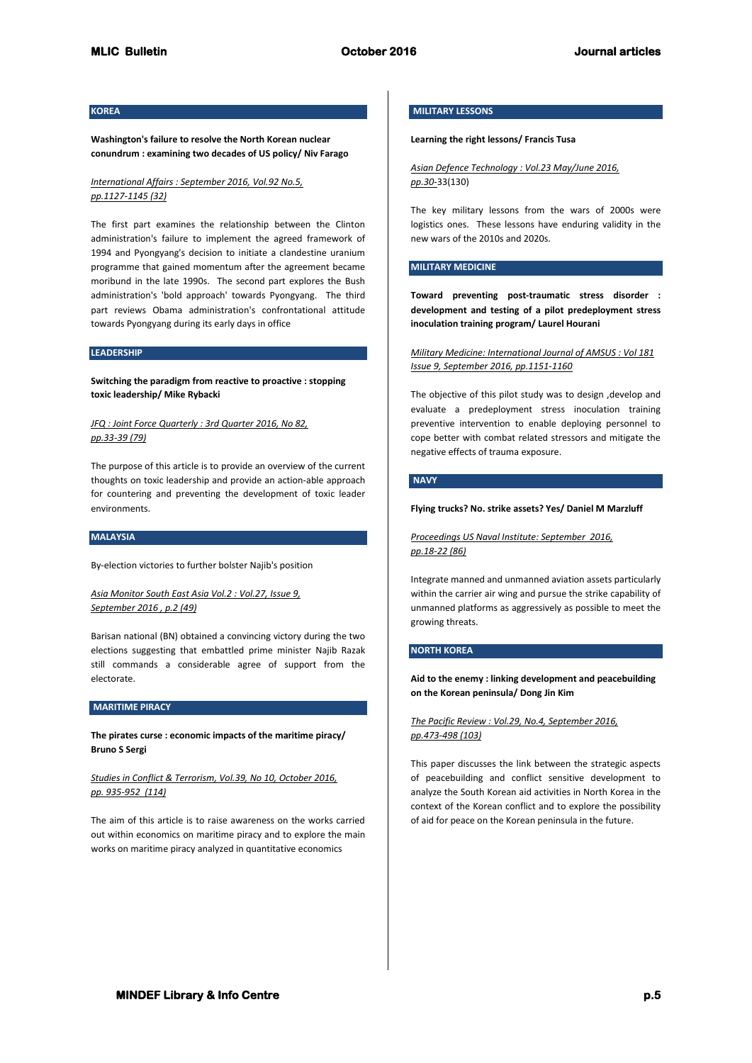# **KOREA**

**Washington's failure to resolve the North Korean nuclear conundrum : examining two decades of US policy/ Niv Farago**

# *International Affairs : September 2016, Vol.92 No.5, pp.1127-1145 (32)*

The first part examines the relationship between the Clinton administration's failure to implement the agreed framework of 1994 and Pyongyang's decision to initiate a clandestine uranium programme that gained momentum after the agreement became moribund in the late 1990s. The second part explores the Bush administration's 'bold approach' towards Pyongyang. The third part reviews Obama administration's confrontational attitude towards Pyongyang during its early days in office

# **LEADERSHIP**

**Switching the paradigm from reactive to proactive : stopping toxic leadership/ Mike Rybacki**

# *JFQ : Joint Force Quarterly : 3rd Quarter 2016, No 82, pp.33-39 (79)*

The purpose of this article is to provide an overview of the current thoughts on toxic leadership and provide an action-able approach for countering and preventing the development of toxic leader environments.

## **MALAYSIA**

By-election victories to further bolster Najib's position

*Asia Monitor South East Asia Vol.2 : Vol.27, Issue 9, September 2016 , p.2 (49)*

Barisan national (BN) obtained a convincing victory during the two elections suggesting that embattled prime minister Najib Razak still commands a considerable agree of support from the electorate.

## **MARITIME PIRACY**

**The pirates curse : economic impacts of the maritime piracy/ Bruno S Sergi**

# *Studies in Conflict & Terrorism, Vol.39, No 10, October 2016, pp. 935-952 (114)*

The aim of this article is to raise awareness on the works carried out within economics on maritime piracy and to explore the main works on maritime piracy analyzed in quantitative economics

# **MILITARY LESSONS**

## **Learning the right lessons/ Francis Tusa**

*Asian Defence Technology : Vol.23 May/June 2016, pp.30-*33(130)

The key military lessons from the wars of 2000s were logistics ones. These lessons have enduring validity in the new wars of the 2010s and 2020s.

## **MILITARY MEDICINE**

**Toward preventing post-traumatic stress disorder : development and testing of a pilot predeployment stress inoculation training program/ Laurel Hourani**

# *Military Medicine: International Journal of AMSUS : Vol 181 Issue 9, September 2016, pp.1151-1160*

The objective of this pilot study was to design ,develop and evaluate a predeployment stress inoculation training preventive intervention to enable deploying personnel to cope better with combat related stressors and mitigate the negative effects of trauma exposure.

# **NAVY**

#### **Flying trucks? No. strike assets? Yes/ Daniel M Marzluff**

*Proceedings US Naval Institute: September 2016, pp.18-22 (86)*

Integrate manned and unmanned aviation assets particularly within the carrier air wing and pursue the strike capability of unmanned platforms as aggressively as possible to meet the growing threats.

#### **NORTH KOREA**

**Aid to the enemy : linking development and peacebuilding on the Korean peninsula/ Dong Jin Kim**

# *The Pacific Review : Vol.29, No.4, September 2016, pp.473-498 (103)*

This paper discusses the link between the strategic aspects of peacebuilding and conflict sensitive development to analyze the South Korean aid activities in North Korea in the context of the Korean conflict and to explore the possibility of aid for peace on the Korean peninsula in the future.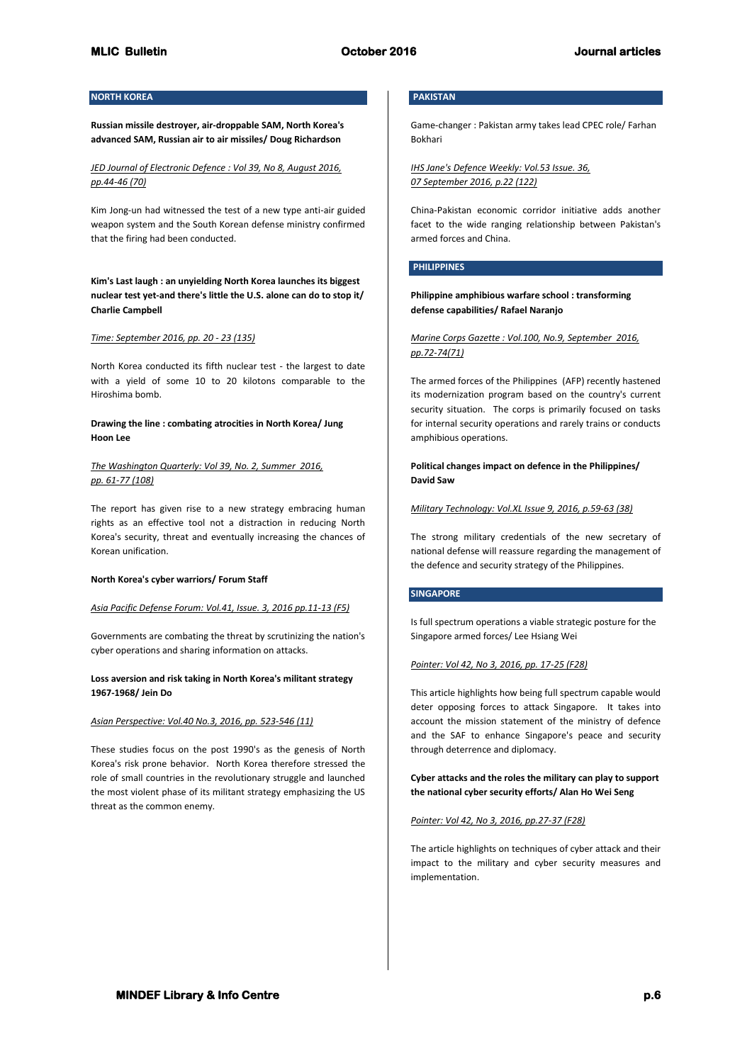# **NORTH KOREA**

**Russian missile destroyer, air-droppable SAM, North Korea's advanced SAM, Russian air to air missiles/ Doug Richardson**

*JED Journal of Electronic Defence : Vol 39, No 8, August 2016, pp.44-46 (70)*

Kim Jong-un had witnessed the test of a new type anti-air guided weapon system and the South Korean defense ministry confirmed that the firing had been conducted.

**Kim's Last laugh : an unyielding North Korea launches its biggest nuclear test yet-and there's little the U.S. alone can do to stop it/ Charlie Campbell**

## *Time: September 2016, pp. 20 - 23 (135)*

North Korea conducted its fifth nuclear test - the largest to date with a yield of some 10 to 20 kilotons comparable to the Hiroshima bomb.

**Drawing the line : combating atrocities in North Korea/ Jung Hoon Lee**

# *The Washington Quarterly: Vol 39, No. 2, Summer 2016, pp. 61-77 (108)*

The report has given rise to a new strategy embracing human rights as an effective tool not a distraction in reducing North Korea's security, threat and eventually increasing the chances of Korean unification.

#### **North Korea's cyber warriors/ Forum Staff**

## *Asia Pacific Defense Forum: Vol.41, Issue. 3, 2016 pp.11-13 (F5)*

Governments are combating the threat by scrutinizing the nation's cyber operations and sharing information on attacks.

# **Loss aversion and risk taking in North Korea's militant strategy 1967-1968/ Jein Do**

## *Asian Perspective: Vol.40 No.3, 2016, pp. 523-546 (11)*

These studies focus on the post 1990's as the genesis of North Korea's risk prone behavior. North Korea therefore stressed the role of small countries in the revolutionary struggle and launched the most violent phase of its militant strategy emphasizing the US threat as the common enemy.

# **PAKISTAN**

Game-changer : Pakistan army takes lead CPEC role/ Farhan Bokhari

*IHS Jane's Defence Weekly: Vol.53 Issue. 36, 07 September 2016, p.22 (122)*

China-Pakistan economic corridor initiative adds another facet to the wide ranging relationship between Pakistan's armed forces and China.

# **PHILIPPINES**

**Philippine amphibious warfare school : transforming defense capabilities/ Rafael Naranjo**

*Marine Corps Gazette : Vol.100, No.9, September 2016, pp.72-74(71)*

The armed forces of the Philippines (AFP) recently hastened its modernization program based on the country's current security situation. The corps is primarily focused on tasks for internal security operations and rarely trains or conducts amphibious operations.

**Political changes impact on defence in the Philippines/ David Saw**

*Military Technology: Vol.XL Issue 9, 2016, p.59-63 (38)* 

The strong military credentials of the new secretary of national defense will reassure regarding the management of the defence and security strategy of the Philippines.

## **SINGAPORE**

Is full spectrum operations a viable strategic posture for the Singapore armed forces/ Lee Hsiang Wei

#### *Pointer: Vol 42, No 3, 2016, pp. 17-25 (F28)*

This article highlights how being full spectrum capable would deter opposing forces to attack Singapore. It takes into account the mission statement of the ministry of defence and the SAF to enhance Singapore's peace and security through deterrence and diplomacy.

**Cyber attacks and the roles the military can play to support the national cyber security efforts/ Alan Ho Wei Seng**

## *Pointer: Vol 42, No 3, 2016, pp.27-37 (F28)*

The article highlights on techniques of cyber attack and their impact to the military and cyber security measures and implementation.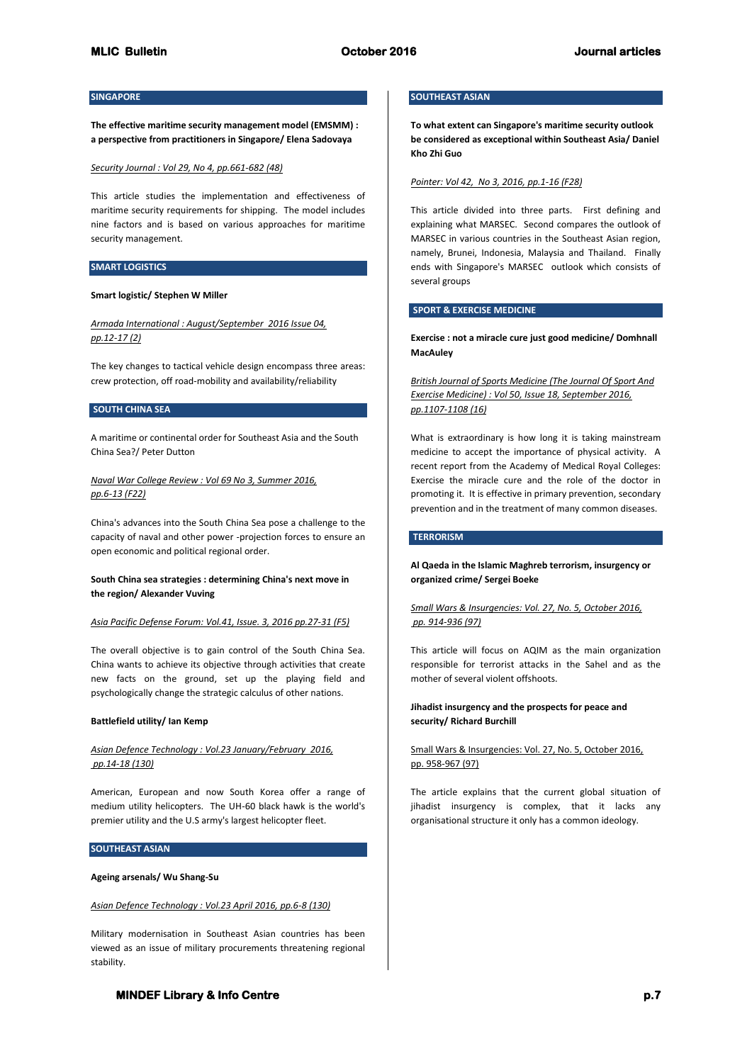# **SINGAPORE**

**The effective maritime security management model (EMSMM) : a perspective from practitioners in Singapore/ Elena Sadovaya**

#### *Security Journal : Vol 29, No 4, pp.661-682 (48)*

This article studies the implementation and effectiveness of maritime security requirements for shipping. The model includes nine factors and is based on various approaches for maritime security management.

## **SMART LOGISTICS**

## **Smart logistic/ Stephen W Miller**

*Armada International : August/September 2016 Issue 04, pp.12-17 (2)*

The key changes to tactical vehicle design encompass three areas: crew protection, off road-mobility and availability/reliability

# **SOUTH CHINA SEA**

A maritime or continental order for Southeast Asia and the South China Sea?/ Peter Dutton

# *Naval War College Review : Vol 69 No 3, Summer 2016, pp.6-13 (F22)*

China's advances into the South China Sea pose a challenge to the capacity of naval and other power -projection forces to ensure an open economic and political regional order.

## **South China sea strategies : determining China's next move in the region/ Alexander Vuving**

#### *Asia Pacific Defense Forum: Vol.41, Issue. 3, 2016 pp.27-31 (F5)*

The overall objective is to gain control of the South China Sea. China wants to achieve its objective through activities that create new facts on the ground, set up the playing field and psychologically change the strategic calculus of other nations.

## **Battlefield utility/ Ian Kemp**

# *Asian Defence Technology : Vol.23 January/February 2016, pp.14-18 (130)*

American, European and now South Korea offer a range of medium utility helicopters. The UH-60 black hawk is the world's premier utility and the U.S army's largest helicopter fleet.

# **SOUTHEAST ASIAN**

# **Ageing arsenals/ Wu Shang-Su**

## *Asian Defence Technology : Vol.23 April 2016, pp.6-8 (130)*

Military modernisation in Southeast Asian countries has been viewed as an issue of military procurements threatening regional stability.

# **SOUTHEAST ASIAN**

**To what extent can Singapore's maritime security outlook be considered as exceptional within Southeast Asia/ Daniel Kho Zhi Guo**

## *Pointer: Vol 42, No 3, 2016, pp.1-16 (F28)*

This article divided into three parts. First defining and explaining what MARSEC. Second compares the outlook of MARSEC in various countries in the Southeast Asian region, namely, Brunei, Indonesia, Malaysia and Thailand. Finally ends with Singapore's MARSEC outlook which consists of several groups

# **SPORT & EXERCISE MEDICINE**

**Exercise : not a miracle cure just good medicine/ Domhnall MacAuley**

*British Journal of Sports Medicine (The Journal Of Sport And Exercise Medicine) : Vol 50, Issue 18, September 2016, pp.1107-1108 (16)*

What is extraordinary is how long it is taking mainstream medicine to accept the importance of physical activity. A recent report from the Academy of Medical Royal Colleges: Exercise the miracle cure and the role of the doctor in promoting it. It is effective in primary prevention, secondary prevention and in the treatment of many common diseases.

#### **TERRORISM**

# **Al Qaeda in the Islamic Maghreb terrorism, insurgency or organized crime/ Sergei Boeke**

# *Small Wars & Insurgencies: Vol. 27, No. 5, October 2016, pp. 914-936 (97)*

This article will focus on AQIM as the main organization responsible for terrorist attacks in the Sahel and as the mother of several violent offshoots.

# **Jihadist insurgency and the prospects for peace and security/ Richard Burchill**

# Small Wars & Insurgencies: Vol. 27, No. 5, October 2016, pp. 958-967 (97)

The article explains that the current global situation of jihadist insurgency is complex, that it lacks any organisational structure it only has a common ideology.